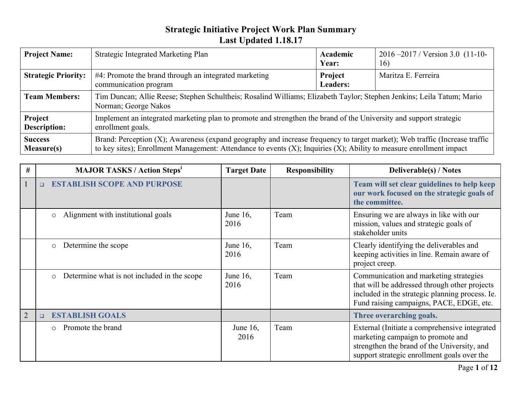| <b>Project Name:</b>                | <b>Strategic Integrated Marketing Plan</b>                                                                                                                                                                                                              | Academic<br>Year:          | $2016 - 2017$ / Version 3.0 (11-10-<br>16) |  |
|-------------------------------------|---------------------------------------------------------------------------------------------------------------------------------------------------------------------------------------------------------------------------------------------------------|----------------------------|--------------------------------------------|--|
| <b>Strategic Priority:</b>          | #4: Promote the brand through an integrated marketing<br>communication program                                                                                                                                                                          | Project<br><b>Leaders:</b> | Maritza E. Ferreira                        |  |
| <b>Team Members:</b>                | Tim Duncan; Allie Reese; Stephen Schultheis; Rosalind Williams; Elizabeth Taylor; Stephen Jenkins; Leila Tatum; Mario<br>Norman; George Nakos                                                                                                           |                            |                                            |  |
| Project<br><b>Description:</b>      | Implement an integrated marketing plan to promote and strengthen the brand of the University and support strategic<br>enrollment goals.                                                                                                                 |                            |                                            |  |
| <b>Success</b><br><b>Measure(s)</b> | Brand: Perception (X); Awareness (expand geography and increase frequency to target market); Web traffic (Increase traffic<br>to key sites); Enrollment Management: Attendance to events $(X)$ ; Inquiries $(X)$ ; Ability to measure enrollment impact |                            |                                            |  |

| #              | <b>MAJOR TASKS / Action Steps<sup>1</sup></b>          | <b>Target Date</b>  | <b>Responsibility</b> | <b>Deliverable(s) / Notes</b>                                                                                                                                                          |
|----------------|--------------------------------------------------------|---------------------|-----------------------|----------------------------------------------------------------------------------------------------------------------------------------------------------------------------------------|
|                | <b>ESTABLISH SCOPE AND PURPOSE</b><br>$\Box$           |                     |                       | Team will set clear guidelines to help keep<br>our work focused on the strategic goals of<br>the committee.                                                                            |
|                | Alignment with institutional goals<br>$\circ$          | June 16,<br>2016    | Team                  | Ensuring we are always in like with our<br>mission, values and strategic goals of<br>stakeholder units                                                                                 |
|                | Determine the scope<br>$\circ$                         | June 16,<br>2016    | Team                  | Clearly identifying the deliverables and<br>keeping activities in line. Remain aware of<br>project creep.                                                                              |
|                | Determine what is not included in the scope<br>$\circ$ | June 16,<br>2016    | Team                  | Communication and marketing strategies<br>that will be addressed through other projects<br>included in the strategic planning process. Ie.<br>Fund raising campaigns, PACE, EDGE, etc. |
| $\overline{2}$ | <b>ESTABLISH GOALS</b><br>$\Box$                       |                     |                       | Three overarching goals.                                                                                                                                                               |
|                | Promote the brand<br>$\circ$                           | June $16$ ,<br>2016 | Team                  | External (Initiate a comprehensive integrated<br>marketing campaign to promote and<br>strengthen the brand of the University, and<br>support strategic enrollment goals over the       |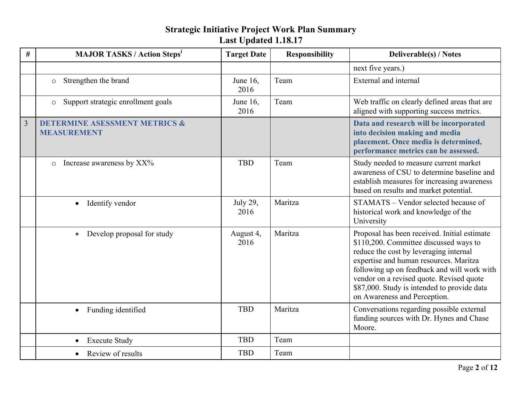| $\#$           | <b>MAJOR TASKS / Action Steps<sup>i</sup></b>                  | <b>Target Date</b>  | <b>Responsibility</b> | <b>Deliverable(s) / Notes</b>                                                                                                                                                                                                                                                                                                                        |
|----------------|----------------------------------------------------------------|---------------------|-----------------------|------------------------------------------------------------------------------------------------------------------------------------------------------------------------------------------------------------------------------------------------------------------------------------------------------------------------------------------------------|
|                |                                                                |                     |                       | next five years.)                                                                                                                                                                                                                                                                                                                                    |
|                | Strengthen the brand<br>$\circ$                                | June $16$ ,<br>2016 | Team                  | <b>External</b> and internal                                                                                                                                                                                                                                                                                                                         |
|                | Support strategic enrollment goals<br>$\circ$                  | June $16$ ,<br>2016 | Team                  | Web traffic on clearly defined areas that are<br>aligned with supporting success metrics.                                                                                                                                                                                                                                                            |
| $\overline{3}$ | <b>DETERMINE ASESSMENT METRICS &amp;</b><br><b>MEASUREMENT</b> |                     |                       | Data and research will be incorporated<br>into decision making and media<br>placement. Once media is determined,<br>performance metrics can be assessed.                                                                                                                                                                                             |
|                | Increase awareness by XX%<br>$\circ$                           | <b>TBD</b>          | Team                  | Study needed to measure current market<br>awareness of CSU to determine baseline and<br>establish measures for increasing awareness<br>based on results and market potential.                                                                                                                                                                        |
|                | Identify vendor                                                | July 29,<br>2016    | Maritza               | STAMATS - Vendor selected because of<br>historical work and knowledge of the<br>University                                                                                                                                                                                                                                                           |
|                | Develop proposal for study<br>$\bullet$                        | August 4,<br>2016   | Maritza               | Proposal has been received. Initial estimate<br>\$110,200. Committee discussed ways to<br>reduce the cost by leveraging internal<br>expertise and human resources. Maritza<br>following up on feedback and will work with<br>vendor on a revised quote. Revised quote<br>\$87,000. Study is intended to provide data<br>on Awareness and Perception. |
|                | • Funding identified                                           | <b>TBD</b>          | Maritza               | Conversations regarding possible external<br>funding sources with Dr. Hynes and Chase<br>Moore.                                                                                                                                                                                                                                                      |
|                | <b>Execute Study</b><br>$\bullet$                              | <b>TBD</b>          | Team                  |                                                                                                                                                                                                                                                                                                                                                      |
|                | Review of results                                              | <b>TBD</b>          | Team                  |                                                                                                                                                                                                                                                                                                                                                      |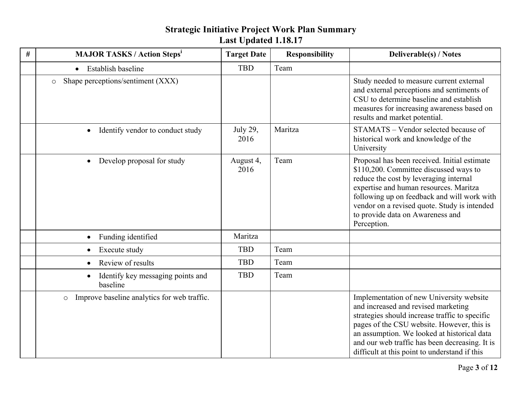| $\#$ | <b>MAJOR TASKS / Action Steps<sup>i</sup></b>              | <b>Target Date</b> | <b>Responsibility</b> | <b>Deliverable(s) / Notes</b>                                                                                                                                                                                                                                                                                                     |
|------|------------------------------------------------------------|--------------------|-----------------------|-----------------------------------------------------------------------------------------------------------------------------------------------------------------------------------------------------------------------------------------------------------------------------------------------------------------------------------|
|      | • Establish baseline                                       | <b>TBD</b>         | Team                  |                                                                                                                                                                                                                                                                                                                                   |
|      | Shape perceptions/sentiment (XXX)<br>$\circ$               |                    |                       | Study needed to measure current external<br>and external perceptions and sentiments of<br>CSU to determine baseline and establish<br>measures for increasing awareness based on<br>results and market potential.                                                                                                                  |
|      | Identify vendor to conduct study<br>$\bullet$              | July 29,<br>2016   | Maritza               | STAMATS - Vendor selected because of<br>historical work and knowledge of the<br>University                                                                                                                                                                                                                                        |
|      | Develop proposal for study<br>$\bullet$                    | August 4,<br>2016  | Team                  | Proposal has been received. Initial estimate<br>\$110,200. Committee discussed ways to<br>reduce the cost by leveraging internal<br>expertise and human resources. Maritza<br>following up on feedback and will work with<br>vendor on a revised quote. Study is intended<br>to provide data on Awareness and<br>Perception.      |
|      | Funding identified<br>$\bullet$                            | Maritza            |                       |                                                                                                                                                                                                                                                                                                                                   |
|      | Execute study<br>$\bullet$                                 | <b>TBD</b>         | Team                  |                                                                                                                                                                                                                                                                                                                                   |
|      | Review of results<br>$\bullet$                             | <b>TBD</b>         | Team                  |                                                                                                                                                                                                                                                                                                                                   |
|      | Identify key messaging points and<br>$\bullet$<br>baseline | <b>TBD</b>         | Team                  |                                                                                                                                                                                                                                                                                                                                   |
|      | Improve baseline analytics for web traffic.<br>$\circ$     |                    |                       | Implementation of new University website<br>and increased and revised marketing<br>strategies should increase traffic to specific<br>pages of the CSU website. However, this is<br>an assumption. We looked at historical data<br>and our web traffic has been decreasing. It is<br>difficult at this point to understand if this |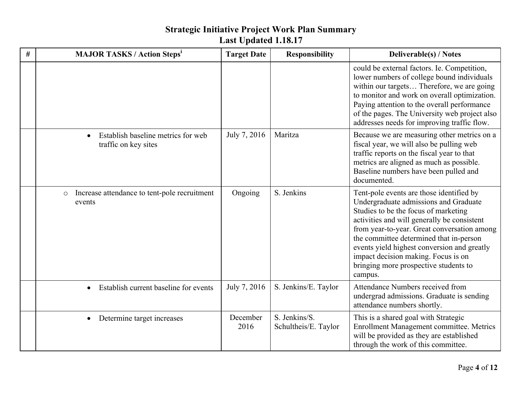| # | <b>MAJOR TASKS / Action Steps<sup>1</sup></b>                           | <b>Target Date</b> | <b>Responsibility</b>                 | <b>Deliverable(s) / Notes</b>                                                                                                                                                                                                                                                                                                                                                                                |
|---|-------------------------------------------------------------------------|--------------------|---------------------------------------|--------------------------------------------------------------------------------------------------------------------------------------------------------------------------------------------------------------------------------------------------------------------------------------------------------------------------------------------------------------------------------------------------------------|
|   |                                                                         |                    |                                       | could be external factors. Ie. Competition,<br>lower numbers of college bound individuals<br>within our targets Therefore, we are going<br>to monitor and work on overall optimization.<br>Paying attention to the overall performance<br>of the pages. The University web project also<br>addresses needs for improving traffic flow.                                                                       |
|   | Establish baseline metrics for web<br>$\bullet$<br>traffic on key sites | July 7, 2016       | Maritza                               | Because we are measuring other metrics on a<br>fiscal year, we will also be pulling web<br>traffic reports on the fiscal year to that<br>metrics are aligned as much as possible.<br>Baseline numbers have been pulled and<br>documented.                                                                                                                                                                    |
|   | Increase attendance to tent-pole recruitment<br>$\circ$<br>events       | Ongoing            | S. Jenkins                            | Tent-pole events are those identified by<br>Undergraduate admissions and Graduate<br>Studies to be the focus of marketing<br>activities and will generally be consistent<br>from year-to-year. Great conversation among<br>the committee determined that in-person<br>events yield highest conversion and greatly<br>impact decision making. Focus is on<br>bringing more prospective students to<br>campus. |
|   | Establish current baseline for events<br>$\bullet$                      | July 7, 2016       | S. Jenkins/E. Taylor                  | Attendance Numbers received from<br>undergrad admissions. Graduate is sending<br>attendance numbers shortly.                                                                                                                                                                                                                                                                                                 |
|   | Determine target increases<br>$\bullet$                                 | December<br>2016   | S. Jenkins/S.<br>Schultheis/E. Taylor | This is a shared goal with Strategic<br>Enrollment Management committee. Metrics<br>will be provided as they are established<br>through the work of this committee.                                                                                                                                                                                                                                          |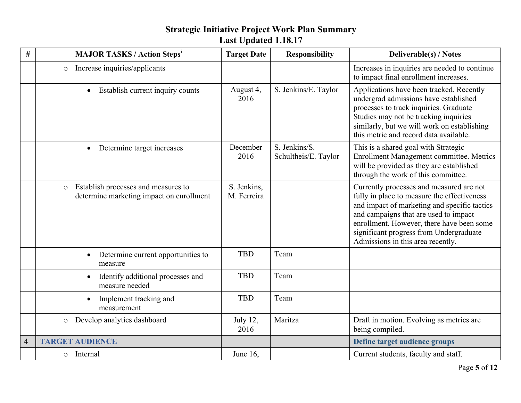| $\#$           | <b>MAJOR TASKS / Action Steps<sup>1</sup></b>                                              | <b>Target Date</b>         | <b>Responsibility</b>                 | <b>Deliverable(s) / Notes</b>                                                                                                                                                                                                                                                                                 |
|----------------|--------------------------------------------------------------------------------------------|----------------------------|---------------------------------------|---------------------------------------------------------------------------------------------------------------------------------------------------------------------------------------------------------------------------------------------------------------------------------------------------------------|
|                | Increase inquiries/applicants<br>$\circ$                                                   |                            |                                       | Increases in inquiries are needed to continue<br>to impact final enrollment increases.                                                                                                                                                                                                                        |
|                | Establish current inquiry counts<br>$\bullet$                                              | August 4,<br>2016          | S. Jenkins/E. Taylor                  | Applications have been tracked. Recently<br>undergrad admissions have established<br>processes to track inquiries. Graduate<br>Studies may not be tracking inquiries<br>similarly, but we will work on establishing<br>this metric and record data available.                                                 |
|                | Determine target increases<br>$\bullet$                                                    | December<br>2016           | S. Jenkins/S.<br>Schultheis/E. Taylor | This is a shared goal with Strategic<br>Enrollment Management committee. Metrics<br>will be provided as they are established<br>through the work of this committee.                                                                                                                                           |
|                | Establish processes and measures to<br>$\circ$<br>determine marketing impact on enrollment | S. Jenkins,<br>M. Ferreira |                                       | Currently processes and measured are not<br>fully in place to measure the effectiveness<br>and impact of marketing and specific tactics<br>and campaigns that are used to impact<br>enrollment. However, there have been some<br>significant progress from Undergraduate<br>Admissions in this area recently. |
|                | Determine current opportunities to<br>$\bullet$<br>measure                                 | <b>TBD</b>                 | Team                                  |                                                                                                                                                                                                                                                                                                               |
|                | Identify additional processes and<br>$\bullet$<br>measure needed                           | <b>TBD</b>                 | Team                                  |                                                                                                                                                                                                                                                                                                               |
|                | Implement tracking and<br>measurement                                                      | <b>TBD</b>                 | Team                                  |                                                                                                                                                                                                                                                                                                               |
|                | Develop analytics dashboard<br>$\circ$                                                     | <b>July 12,</b><br>2016    | Maritza                               | Draft in motion. Evolving as metrics are<br>being compiled.                                                                                                                                                                                                                                                   |
| $\overline{4}$ | <b>TARGET AUDIENCE</b>                                                                     |                            |                                       | Define target audience groups                                                                                                                                                                                                                                                                                 |
|                | Internal<br>$\circ$                                                                        | June 16,                   |                                       | Current students, faculty and staff.                                                                                                                                                                                                                                                                          |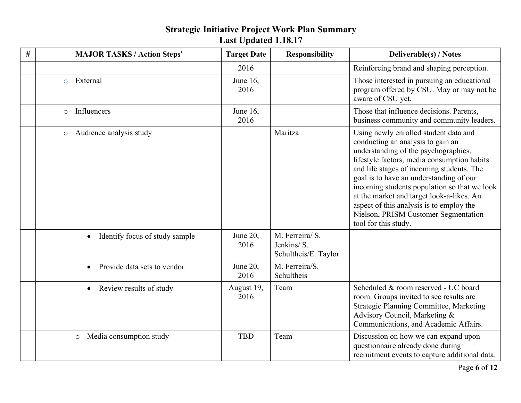| # | <b>MAJOR TASKS / Action Steps<sup>1</sup></b> | <b>Target Date</b>  | <b>Responsibility</b>                                 | <b>Deliverable(s) / Notes</b>                                                                                                                                                                                                                                                                                                                                                                                                                                      |
|---|-----------------------------------------------|---------------------|-------------------------------------------------------|--------------------------------------------------------------------------------------------------------------------------------------------------------------------------------------------------------------------------------------------------------------------------------------------------------------------------------------------------------------------------------------------------------------------------------------------------------------------|
|   |                                               | 2016                |                                                       | Reinforcing brand and shaping perception.                                                                                                                                                                                                                                                                                                                                                                                                                          |
|   | External<br>$\circ$                           | June $16$ ,<br>2016 |                                                       | Those interested in pursuing an educational<br>program offered by CSU. May or may not be<br>aware of CSU yet.                                                                                                                                                                                                                                                                                                                                                      |
|   | Influencers<br>$\circ$                        | June $16$ ,<br>2016 |                                                       | Those that influence decisions. Parents,<br>business community and community leaders.                                                                                                                                                                                                                                                                                                                                                                              |
|   | Audience analysis study<br>$\circ$            |                     | Maritza                                               | Using newly enrolled student data and<br>conducting an analysis to gain an<br>understanding of the psychographics,<br>lifestyle factors, media consumption habits<br>and life stages of incoming students. The<br>goal is to have an understanding of our<br>incoming students population so that we look<br>at the market and target look-a-likes. An<br>aspect of this analysis is to employ the<br>Nielson, PRISM Customer Segmentation<br>tool for this study. |
|   | Identify focus of study sample<br>$\bullet$   | June $20$ ,<br>2016 | M. Ferreira/ S.<br>Jenkins/S.<br>Schultheis/E. Taylor |                                                                                                                                                                                                                                                                                                                                                                                                                                                                    |
|   | Provide data sets to vendor<br>$\bullet$      | June $20$ ,<br>2016 | M. Ferreira/S.<br>Schultheis                          |                                                                                                                                                                                                                                                                                                                                                                                                                                                                    |
|   | Review results of study                       | August 19,<br>2016  | Team                                                  | Scheduled & room reserved - UC board<br>room. Groups invited to see results are<br>Strategic Planning Committee, Marketing<br>Advisory Council, Marketing &<br>Communications, and Academic Affairs.                                                                                                                                                                                                                                                               |
|   | Media consumption study<br>$\circ$            | <b>TBD</b>          | Team                                                  | Discussion on how we can expand upon<br>questionnaire already done during<br>recruitment events to capture additional data.                                                                                                                                                                                                                                                                                                                                        |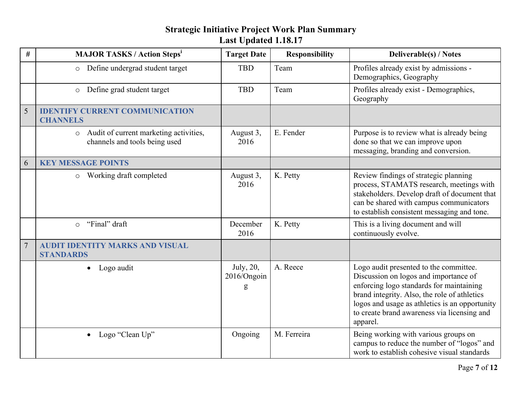| #              | <b>MAJOR TASKS / Action Steps<sup>i</sup></b>                                      | <b>Target Date</b>            | <b>Responsibility</b> | <b>Deliverable(s) / Notes</b>                                                                                                                                                                                                                                                            |
|----------------|------------------------------------------------------------------------------------|-------------------------------|-----------------------|------------------------------------------------------------------------------------------------------------------------------------------------------------------------------------------------------------------------------------------------------------------------------------------|
|                | Define undergrad student target<br>$\circ$                                         | <b>TBD</b>                    | Team                  | Profiles already exist by admissions -<br>Demographics, Geography                                                                                                                                                                                                                        |
|                | Define grad student target<br>$\circ$                                              | <b>TBD</b>                    | Team                  | Profiles already exist - Demographics,<br>Geography                                                                                                                                                                                                                                      |
| 5              | <b>IDENTIFY CURRENT COMMUNICATION</b><br><b>CHANNELS</b>                           |                               |                       |                                                                                                                                                                                                                                                                                          |
|                | Audit of current marketing activities,<br>$\circ$<br>channels and tools being used | August 3,<br>2016             | E. Fender             | Purpose is to review what is already being<br>done so that we can improve upon<br>messaging, branding and conversion.                                                                                                                                                                    |
| 6              | <b>KEY MESSAGE POINTS</b>                                                          |                               |                       |                                                                                                                                                                                                                                                                                          |
|                | Working draft completed<br>$\circ$                                                 | August 3,<br>2016             | K. Petty              | Review findings of strategic planning<br>process, STAMATS research, meetings with<br>stakeholders. Develop draft of document that<br>can be shared with campus communicators<br>to establish consistent messaging and tone.                                                              |
|                | "Final" draft<br>$\circ$                                                           | December<br>2016              | K. Petty              | This is a living document and will<br>continuously evolve.                                                                                                                                                                                                                               |
| $\overline{7}$ | <b>AUDIT IDENTITY MARKS AND VISUAL</b><br><b>STANDARDS</b>                         |                               |                       |                                                                                                                                                                                                                                                                                          |
|                | $\bullet$ Logo audit                                                               | July, 20,<br>2016/Ongoin<br>g | A. Reece              | Logo audit presented to the committee.<br>Discussion on logos and importance of<br>enforcing logo standards for maintaining<br>brand integrity. Also, the role of athletics<br>logos and usage as athletics is an opportunity<br>to create brand awareness via licensing and<br>apparel. |
|                | • Logo "Clean $Up$ "                                                               | Ongoing                       | M. Ferreira           | Being working with various groups on<br>campus to reduce the number of "logos" and<br>work to establish cohesive visual standards                                                                                                                                                        |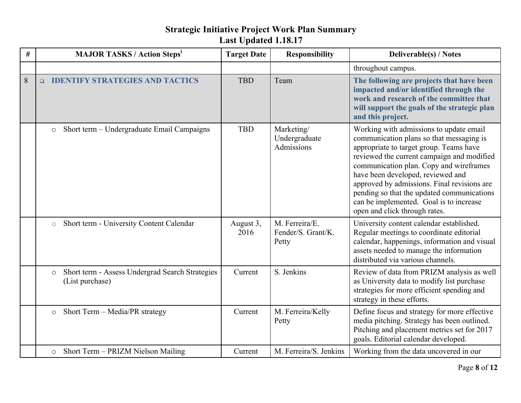| # | <b>MAJOR TASKS / Action Steps<sup>1</sup></b>                                 | <b>Target Date</b> | <b>Responsibility</b>                         | <b>Deliverable(s) / Notes</b>                                                                                                                                                                                                                                                                                                                                                                                                         |
|---|-------------------------------------------------------------------------------|--------------------|-----------------------------------------------|---------------------------------------------------------------------------------------------------------------------------------------------------------------------------------------------------------------------------------------------------------------------------------------------------------------------------------------------------------------------------------------------------------------------------------------|
|   |                                                                               |                    |                                               | throughout campus.                                                                                                                                                                                                                                                                                                                                                                                                                    |
| 8 | <b>IDENTIFY STRATEGIES AND TACTICS</b><br>$\Box$                              | <b>TBD</b>         | Team                                          | The following are projects that have been<br>impacted and/or identified through the<br>work and research of the committee that<br>will support the goals of the strategic plan<br>and this project.                                                                                                                                                                                                                                   |
|   | Short term - Undergraduate Email Campaigns<br>$\circ$                         | <b>TBD</b>         | Marketing/<br>Undergraduate<br>Admissions     | Working with admissions to update email<br>communication plans so that messaging is<br>appropriate to target group. Teams have<br>reviewed the current campaign and modified<br>communication plan. Copy and wireframes<br>have been developed, reviewed and<br>approved by admissions. Final revisions are<br>pending so that the updated communications<br>can be implemented. Goal is to increase<br>open and click through rates. |
|   | Short term - University Content Calendar<br>$\circ$                           | August 3,<br>2016  | M. Ferreira/E.<br>Fender/S. Grant/K.<br>Petty | University content calendar established.<br>Regular meetings to coordinate editorial<br>calendar, happenings, information and visual<br>assets needed to manage the information<br>distributed via various channels.                                                                                                                                                                                                                  |
|   | Short term - Assess Undergrad Search Strategies<br>$\circ$<br>(List purchase) | Current            | S. Jenkins                                    | Review of data from PRIZM analysis as well<br>as University data to modify list purchase<br>strategies for more efficient spending and<br>strategy in these efforts.                                                                                                                                                                                                                                                                  |
|   | Short Term - Media/PR strategy<br>$\circ$                                     | Current            | M. Ferreira/Kelly<br>Petty                    | Define focus and strategy for more effective<br>media pitching. Strategy has been outlined.<br>Pitching and placement metrics set for 2017<br>goals. Editorial calendar developed.                                                                                                                                                                                                                                                    |
|   | Short Term - PRIZM Nielson Mailing<br>$\circ$                                 | Current            | M. Ferreira/S. Jenkins                        | Working from the data uncovered in our                                                                                                                                                                                                                                                                                                                                                                                                |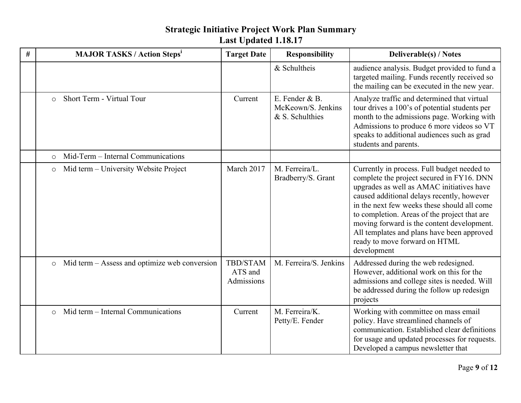#### **# MAJOR TASKS / Action Stepsi Target Date Responsibility Deliverable(s) / Notes** & Schultheis  $\alpha$  audience analysis. Budget provided to fund a targeted mailing. Funds recently received so the mailing can be executed in the new year.  $\circ$  Short Term - Virtual Tour Current E. Fender & B. McKeown/S. Jenkins & S. Schulthies Analyze traffic and determined that virtual tour drives a 100's of potential students per month to the admissions page. Working with Admissions to produce 6 more videos so VT speaks to additional audiences such as grad students and parents. o Mid-Term – Internal Communications  $\circ$  Mid term – University Website Project March 2017 | M. Ferreira/L. Bradberry/S. Grant Currently in process. Full budget needed to complete the project secured in FY16. DNN upgrades as well as AMAC initiatives have caused additional delays recently, however in the next few weeks these should all come to completion. Areas of the project that are moving forward is the content development. All templates and plans have been approved ready to move forward on HTML development o Mid term – Assess and optimize web conversion TBD/STAM ATS and Admissions M. Ferreira/S. Jenkins  $\vert$  Addressed during the web redesigned. However, additional work on this for the admissions and college sites is needed. Will be addressed during the follow up redesign projects  $\circ$  Mid term – Internal Communications  $\qquad \qquad$  Current M. Ferreira/K. Petty/E. Fender Working with committee on mass email policy. Have streamlined channels of communication. Established clear definitions for usage and updated processes for requests. Developed a campus newsletter that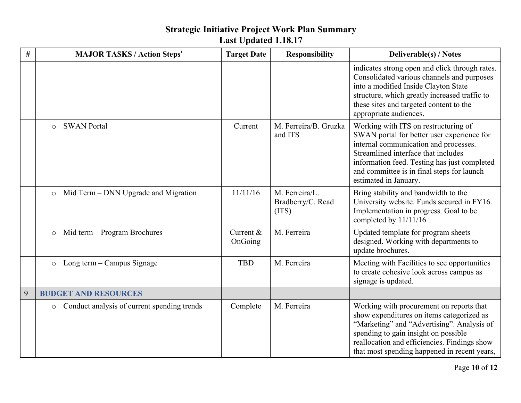| # | <b>MAJOR TASKS / Action Steps<sup>i</sup></b>          | <b>Target Date</b>   | <b>Responsibility</b>                        | <b>Deliverable(s) / Notes</b>                                                                                                                                                                                                                                                             |
|---|--------------------------------------------------------|----------------------|----------------------------------------------|-------------------------------------------------------------------------------------------------------------------------------------------------------------------------------------------------------------------------------------------------------------------------------------------|
|   |                                                        |                      |                                              | indicates strong open and click through rates.<br>Consolidated various channels and purposes<br>into a modified Inside Clayton State<br>structure, which greatly increased traffic to<br>these sites and targeted content to the<br>appropriate audiences.                                |
|   | <b>SWAN Portal</b><br>$\circ$                          | Current              | M. Ferreira/B. Gruzka<br>and ITS             | Working with ITS on restructuring of<br>SWAN portal for better user experience for<br>internal communication and processes.<br>Streamlined interface that includes<br>information feed. Testing has just completed<br>and committee is in final steps for launch<br>estimated in January. |
|   | Mid Term – DNN Upgrade and Migration<br>$\circ$        | 11/11/16             | M. Ferreira/L.<br>Bradberry/C. Read<br>(TTS) | Bring stability and bandwidth to the<br>University website. Funds secured in FY16.<br>Implementation in progress. Goal to be<br>completed by 11/11/16                                                                                                                                     |
|   | Mid term - Program Brochures<br>$\circ$                | Current &<br>OnGoing | M. Ferreira                                  | Updated template for program sheets<br>designed. Working with departments to<br>update brochures.                                                                                                                                                                                         |
|   | Long term – Campus Signage<br>$\circ$                  | <b>TBD</b>           | M. Ferreira                                  | Meeting with Facilities to see opportunities<br>to create cohesive look across campus as<br>signage is updated.                                                                                                                                                                           |
| 9 | <b>BUDGET AND RESOURCES</b>                            |                      |                                              |                                                                                                                                                                                                                                                                                           |
|   | Conduct analysis of current spending trends<br>$\circ$ | Complete             | M. Ferreira                                  | Working with procurement on reports that<br>show expenditures on items categorized as<br>"Marketing" and "Advertising". Analysis of<br>spending to gain insight on possible<br>reallocation and efficiencies. Findings show<br>that most spending happened in recent years,               |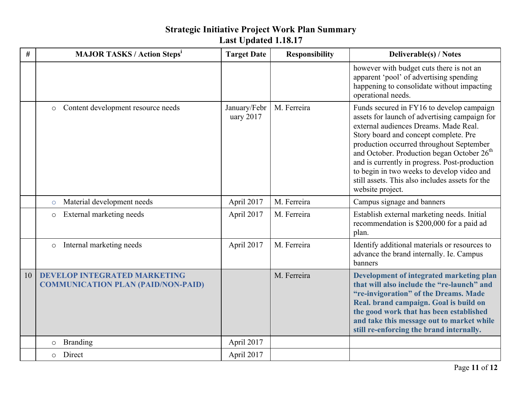| #  | <b>MAJOR TASKS / Action Steps<sup>i</sup></b>                                    | <b>Target Date</b>        | <b>Responsibility</b> | <b>Deliverable(s) / Notes</b>                                                                                                                                                                                                                                                                                                                                                                                                                            |
|----|----------------------------------------------------------------------------------|---------------------------|-----------------------|----------------------------------------------------------------------------------------------------------------------------------------------------------------------------------------------------------------------------------------------------------------------------------------------------------------------------------------------------------------------------------------------------------------------------------------------------------|
|    |                                                                                  |                           |                       | however with budget cuts there is not an<br>apparent 'pool' of advertising spending<br>happening to consolidate without impacting<br>operational needs.                                                                                                                                                                                                                                                                                                  |
|    | Content development resource needs<br>$\circ$                                    | January/Febr<br>uary 2017 | M. Ferreira           | Funds secured in FY16 to develop campaign<br>assets for launch of advertising campaign for<br>external audiences Dreams. Made Real.<br>Story board and concept complete. Pre<br>production occurred throughout September<br>and October. Production began October 26 <sup>th</sup><br>and is currently in progress. Post-production<br>to begin in two weeks to develop video and<br>still assets. This also includes assets for the<br>website project. |
|    | Material development needs<br>$\circ$                                            | April 2017                | M. Ferreira           | Campus signage and banners                                                                                                                                                                                                                                                                                                                                                                                                                               |
|    | External marketing needs<br>$\circ$                                              | April 2017                | M. Ferreira           | Establish external marketing needs. Initial<br>recommendation is \$200,000 for a paid ad<br>plan.                                                                                                                                                                                                                                                                                                                                                        |
|    | Internal marketing needs<br>$\circ$                                              | April 2017                | M. Ferreira           | Identify additional materials or resources to<br>advance the brand internally. Ie. Campus<br>banners                                                                                                                                                                                                                                                                                                                                                     |
| 10 | <b>DEVELOP INTEGRATED MARKETING</b><br><b>COMMUNICATION PLAN (PAID/NON-PAID)</b> |                           | M. Ferreira           | Development of integrated marketing plan<br>that will also include the "re-launch" and<br>"re-invigoration" of the Dreams. Made<br>Real. brand campaign. Goal is build on<br>the good work that has been established<br>and take this message out to market while<br>still re-enforcing the brand internally.                                                                                                                                            |
|    | <b>Branding</b><br>$\circ$                                                       | April 2017                |                       |                                                                                                                                                                                                                                                                                                                                                                                                                                                          |
|    | Direct<br>$\circ$                                                                | April 2017                |                       |                                                                                                                                                                                                                                                                                                                                                                                                                                                          |